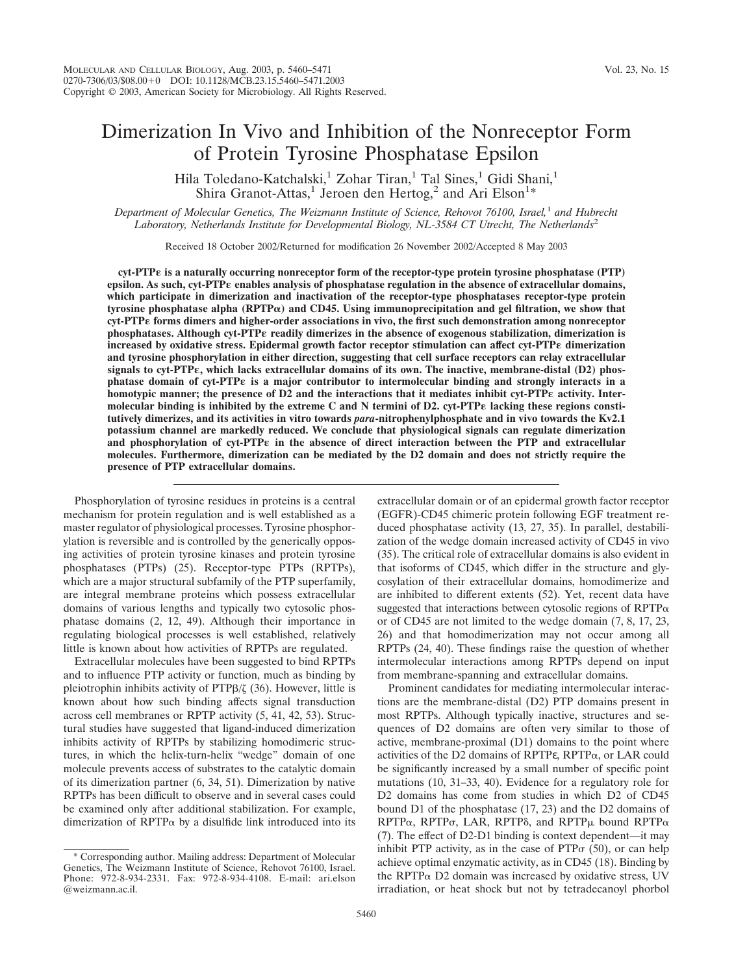Hila Toledano-Katchalski,<sup>1</sup> Zohar Tiran,<sup>1</sup> Tal Sines,<sup>1</sup> Gidi Shani,<sup>1</sup> Shira Granot-Attas,<sup>1</sup> Jeroen den Hertog,<sup>2</sup> and Ari Elson<sup>1</sup>\*

*Department of Molecular Genetics, The Weizmann Institute of Science, Rehovot 76100, Israel,*<sup>1</sup> *and Hubrecht Laboratory, Netherlands Institute for Developmental Biology, NL-3584 CT Utrecht, The Netherlands*<sup>2</sup>

Received 18 October 2002/Returned for modification 26 November 2002/Accepted 8 May 2003

**cyt-PTP is a naturally occurring nonreceptor form of the receptor-type protein tyrosine phosphatase (PTP) epsilon. As such, cyt-PTP enables analysis of phosphatase regulation in the absence of extracellular domains, which participate in dimerization and inactivation of the receptor-type phosphatases receptor-type protein** tyrosine phosphatase alpha (RPTP $\alpha$ ) and CD45. Using immunoprecipitation and gel filtration, we show that **cyt-PTP forms dimers and higher-order associations in vivo, the first such demonstration among nonreceptor phosphatases. Although cyt-PTP readily dimerizes in the absence of exogenous stabilization, dimerization is increased by oxidative stress. Epidermal growth factor receptor stimulation can affect cyt-PTP dimerization and tyrosine phosphorylation in either direction, suggesting that cell surface receptors can relay extracellular signals to cyt-PTP, which lacks extracellular domains of its own. The inactive, membrane-distal (D2) phosphatase domain of cyt-PTP is a major contributor to intermolecular binding and strongly interacts in a homotypic manner; the presence of D2 and the interactions that it mediates inhibit cyt-PTP activity. Inter**molecular binding is inhibited by the extreme C and N termini of D2. cyt-PTP<sub>ε</sub> lacking these regions consti**tutively dimerizes, and its activities in vitro towards** *para***-nitrophenylphosphate and in vivo towards the Kv2.1 potassium channel are markedly reduced. We conclude that physiological signals can regulate dimerization and phosphorylation of cyt-PTP in the absence of direct interaction between the PTP and extracellular molecules. Furthermore, dimerization can be mediated by the D2 domain and does not strictly require the presence of PTP extracellular domains.**

Phosphorylation of tyrosine residues in proteins is a central mechanism for protein regulation and is well established as a master regulator of physiological processes. Tyrosine phosphorylation is reversible and is controlled by the generically opposing activities of protein tyrosine kinases and protein tyrosine phosphatases (PTPs) (25). Receptor-type PTPs (RPTPs), which are a major structural subfamily of the PTP superfamily, are integral membrane proteins which possess extracellular domains of various lengths and typically two cytosolic phosphatase domains (2, 12, 49). Although their importance in regulating biological processes is well established, relatively little is known about how activities of RPTPs are regulated.

Extracellular molecules have been suggested to bind RPTPs and to influence PTP activity or function, much as binding by pleiotrophin inhibits activity of PTPß/ζ (36). However, little is known about how such binding affects signal transduction across cell membranes or RPTP activity (5, 41, 42, 53). Structural studies have suggested that ligand-induced dimerization inhibits activity of RPTPs by stabilizing homodimeric structures, in which the helix-turn-helix "wedge" domain of one molecule prevents access of substrates to the catalytic domain of its dimerization partner (6, 34, 51). Dimerization by native RPTPs has been difficult to observe and in several cases could be examined only after additional stabilization. For example, dimerization of RPTP $\alpha$  by a disulfide link introduced into its extracellular domain or of an epidermal growth factor receptor (EGFR)-CD45 chimeric protein following EGF treatment reduced phosphatase activity (13, 27, 35). In parallel, destabilization of the wedge domain increased activity of CD45 in vivo (35). The critical role of extracellular domains is also evident in that isoforms of CD45, which differ in the structure and glycosylation of their extracellular domains, homodimerize and are inhibited to different extents (52). Yet, recent data have suggested that interactions between cytosolic regions of  $RPTP\alpha$ or of CD45 are not limited to the wedge domain (7, 8, 17, 23, 26) and that homodimerization may not occur among all RPTPs (24, 40). These findings raise the question of whether intermolecular interactions among RPTPs depend on input from membrane-spanning and extracellular domains.

Prominent candidates for mediating intermolecular interactions are the membrane-distal (D2) PTP domains present in most RPTPs. Although typically inactive, structures and sequences of D2 domains are often very similar to those of active, membrane-proximal (D1) domains to the point where activities of the D2 domains of RPTPe, RPTP $\alpha$ , or LAR could be significantly increased by a small number of specific point mutations (10, 31–33, 40). Evidence for a regulatory role for D2 domains has come from studies in which D2 of CD45 bound D1 of the phosphatase (17, 23) and the D2 domains of  $RPTP\alpha$ ,  $RPTP\sigma$ , LAR,  $RPTP\delta$ , and  $RPTP\mu$  bound  $RPTP\alpha$ (7). The effect of D2-D1 binding is context dependent—it may inhibit PTP activity, as in the case of PTP $\sigma$  (50), or can help achieve optimal enzymatic activity, as in CD45 (18). Binding by the RPTP $\alpha$  D2 domain was increased by oxidative stress, UV irradiation, or heat shock but not by tetradecanoyl phorbol

<sup>\*</sup> Corresponding author. Mailing address: Department of Molecular Genetics, The Weizmann Institute of Science, Rehovot 76100, Israel. Phone: 972-8-934-2331. Fax: 972-8-934-4108. E-mail: ari.elson @weizmann.ac.il.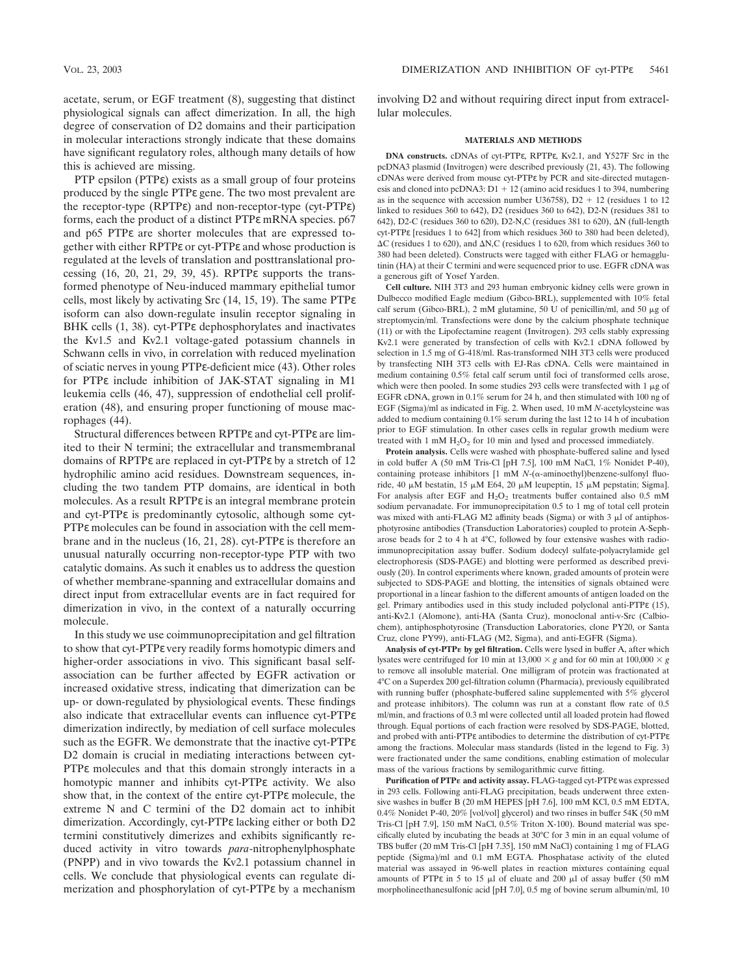acetate, serum, or EGF treatment (8), suggesting that distinct physiological signals can affect dimerization. In all, the high degree of conservation of D2 domains and their participation in molecular interactions strongly indicate that these domains have significant regulatory roles, although many details of how this is achieved are missing.

PTP epsilon (PTPε) exists as a small group of four proteins produced by the single PTPε gene. The two most prevalent are the receptor-type (RPTPε) and non-receptor-type (cyt-PTPε) forms, each the product of a distinct PTPε mRNA species. p67 and p65 PTPε are shorter molecules that are expressed together with either RPTPε or cyt-PTPε and whose production is regulated at the levels of translation and posttranslational processing (16, 20, 21, 29, 39, 45). RPTPε supports the transformed phenotype of Neu-induced mammary epithelial tumor cells, most likely by activating Src (14, 15, 19). The same PTPε isoform can also down-regulate insulin receptor signaling in BHK cells (1, 38). cyt-PTPε dephosphorylates and inactivates the Kv1.5 and Kv2.1 voltage-gated potassium channels in Schwann cells in vivo, in correlation with reduced myelination of sciatic nerves in young PTPε-deficient mice (43). Other roles for PTPε include inhibition of JAK-STAT signaling in M1 leukemia cells (46, 47), suppression of endothelial cell proliferation (48), and ensuring proper functioning of mouse macrophages (44).

Structural differences between RPTPε and cyt-PTPε are limited to their N termini; the extracellular and transmembranal domains of RPTPε are replaced in cyt-PTPε by a stretch of 12 hydrophilic amino acid residues. Downstream sequences, including the two tandem PTP domains, are identical in both molecules. As a result RPTPε is an integral membrane protein and cyt-PTPε is predominantly cytosolic, although some cyt-PTPε molecules can be found in association with the cell membrane and in the nucleus (16, 21, 28). cyt-PTPε is therefore an unusual naturally occurring non-receptor-type PTP with two catalytic domains. As such it enables us to address the question of whether membrane-spanning and extracellular domains and direct input from extracellular events are in fact required for dimerization in vivo, in the context of a naturally occurring molecule.

In this study we use coimmunoprecipitation and gel filtration to show that cyt-PTPε very readily forms homotypic dimers and higher-order associations in vivo. This significant basal selfassociation can be further affected by EGFR activation or increased oxidative stress, indicating that dimerization can be up- or down-regulated by physiological events. These findings also indicate that extracellular events can influence cyt-PTPε dimerization indirectly, by mediation of cell surface molecules such as the EGFR. We demonstrate that the inactive cyt-PTPε D2 domain is crucial in mediating interactions between cyt-PTPε molecules and that this domain strongly interacts in a homotypic manner and inhibits cyt-PTPε activity. We also show that, in the context of the entire cyt-PTPε molecule, the extreme N and C termini of the D2 domain act to inhibit dimerization. Accordingly, cyt-PTPε lacking either or both D2 termini constitutively dimerizes and exhibits significantly reduced activity in vitro towards *para*-nitrophenylphosphate (PNPP) and in vivo towards the Kv2.1 potassium channel in cells. We conclude that physiological events can regulate dimerization and phosphorylation of cyt-PTPε by a mechanism

involving D2 and without requiring direct input from extracellular molecules.

### **MATERIALS AND METHODS**

**DNA constructs.** cDNAs of cyt-PTPε, RPTPε, Kv2.1, and Y527F Src in the pcDNA3 plasmid (Invitrogen) were described previously (21, 43). The following cDNAs were derived from mouse cyt-PTPε by PCR and site-directed mutagenesis and cloned into pcDNA3:  $D1 + 12$  (amino acid residues 1 to 394, numbering as in the sequence with accession number U36758),  $D2 + 12$  (residues 1 to 12 linked to residues 360 to 642), D2 (residues 360 to 642), D2-N (residues 381 to 642), D2-C (residues 360 to 620), D2-N,C (residues 381 to 620),  $\Delta N$  (full-length cyt-PTPε [residues 1 to 642] from which residues 360 to 380 had been deleted),  $\Delta C$  (residues 1 to 620), and  $\Delta N$ , C (residues 1 to 620, from which residues 360 to 380 had been deleted). Constructs were tagged with either FLAG or hemagglutinin (HA) at their C termini and were sequenced prior to use. EGFR cDNA was a generous gift of Yosef Yarden.

**Cell culture.** NIH 3T3 and 293 human embryonic kidney cells were grown in Dulbecco modified Eagle medium (Gibco-BRL), supplemented with 10% fetal calf serum (Gibco-BRL), 2 mM glutamine, 50 U of penicillin/ml, and 50  $\mu$ g of streptomycin/ml. Transfections were done by the calcium phosphate technique (11) or with the Lipofectamine reagent (Invitrogen). 293 cells stably expressing Kv2.1 were generated by transfection of cells with Kv2.1 cDNA followed by selection in 1.5 mg of G-418/ml. Ras-transformed NIH 3T3 cells were produced by transfecting NIH 3T3 cells with EJ-Ras cDNA. Cells were maintained in medium containing 0.5% fetal calf serum until foci of transformed cells arose, which were then pooled. In some studies 293 cells were transfected with  $1 \mu$ g of EGFR cDNA, grown in 0.1% serum for 24 h, and then stimulated with 100 ng of EGF (Sigma)/ml as indicated in Fig. 2. When used, 10 mM *N*-acetylcysteine was added to medium containing  $0.1\%$  serum during the last 12 to 14 h of incubation prior to EGF stimulation. In other cases cells in regular growth medium were treated with  $1 \text{ mM } H_2O_2$  for  $10 \text{ min }$  and lysed and processed immediately.

**Protein analysis.** Cells were washed with phosphate-buffered saline and lysed in cold buffer A (50 mM Tris-Cl [pH 7.5], 100 mM NaCl, 1% Nonidet P-40), containing protease inhibitors  $[1 \text{ mM } N$ -( $\alpha$ -aminoethyl)benzene-sulfonyl fluoride, 40  $\mu$ M bestatin, 15  $\mu$ M E64, 20  $\mu$ M leupeptin, 15  $\mu$ M pepstatin; Sigma]. For analysis after EGF and  $H_2O_2$  treatments buffer contained also 0.5 mM sodium pervanadate. For immunoprecipitation 0.5 to 1 mg of total cell protein was mixed with anti-FLAG M2 affinity beads (Sigma) or with  $3 \mu l$  of antiphosphotyrosine antibodies (Transduction Laboratories) coupled to protein A-Sepharose beads for 2 to 4 h at 4°C, followed by four extensive washes with radioimmunoprecipitation assay buffer. Sodium dodecyl sulfate-polyacrylamide gel electrophoresis (SDS-PAGE) and blotting were performed as described previously (20). In control experiments where known, graded amounts of protein were subjected to SDS-PAGE and blotting, the intensities of signals obtained were proportional in a linear fashion to the different amounts of antigen loaded on the gel. Primary antibodies used in this study included polyclonal anti-PTPε (15), anti-Kv2.1 (Alomone), anti-HA (Santa Cruz), monoclonal anti-v-Src (Calbiochem), antiphosphotyrosine (Transduction Laboratories, clone PY20, or Santa Cruz, clone PY99), anti-FLAG (M2, Sigma), and anti-EGFR (Sigma).

Analysis of cyt-PTP<sub>&</sub> by gel filtration. Cells were lysed in buffer A, after which lysates were centrifuged for 10 min at 13,000  $\times$  *g* and for 60 min at 100,000  $\times$  *g* to remove all insoluble material. One milligram of protein was fractionated at 4°C on a Superdex 200 gel-filtration column (Pharmacia), previously equilibrated with running buffer (phosphate-buffered saline supplemented with 5% glycerol and protease inhibitors). The column was run at a constant flow rate of 0.5 ml/min, and fractions of 0.3 ml were collected until all loaded protein had flowed through. Equal portions of each fraction were resolved by SDS-PAGE, blotted, and probed with anti-PTPε antibodies to determine the distribution of cyt-PTPε among the fractions. Molecular mass standards (listed in the legend to Fig. 3) were fractionated under the same conditions, enabling estimation of molecular mass of the various fractions by semilogarithmic curve fitting.

**Purification of PTPε and activity assay.** FLAG-tagged cyt-PTPε was expressed in 293 cells. Following anti-FLAG precipitation, beads underwent three extensive washes in buffer B (20 mM HEPES [pH 7.6], 100 mM KCl, 0.5 mM EDTA, 0.4% Nonidet P-40, 20% [vol/vol] glycerol) and two rinses in buffer 54K (50 mM Tris-Cl [pH 7.9], 150 mM NaCl, 0.5% Triton X-100). Bound material was specifically eluted by incubating the beads at 30°C for 3 min in an equal volume of TBS buffer (20 mM Tris-Cl [pH 7.35], 150 mM NaCl) containing 1 mg of FLAG peptide (Sigma)/ml and 0.1 mM EGTA. Phosphatase activity of the eluted material was assayed in 96-well plates in reaction mixtures containing equal amounts of PTPs in 5 to 15  $\mu$ l of eluate and 200  $\mu$ l of assay buffer (50 mM morpholineethanesulfonic acid [pH 7.0], 0.5 mg of bovine serum albumin/ml, 10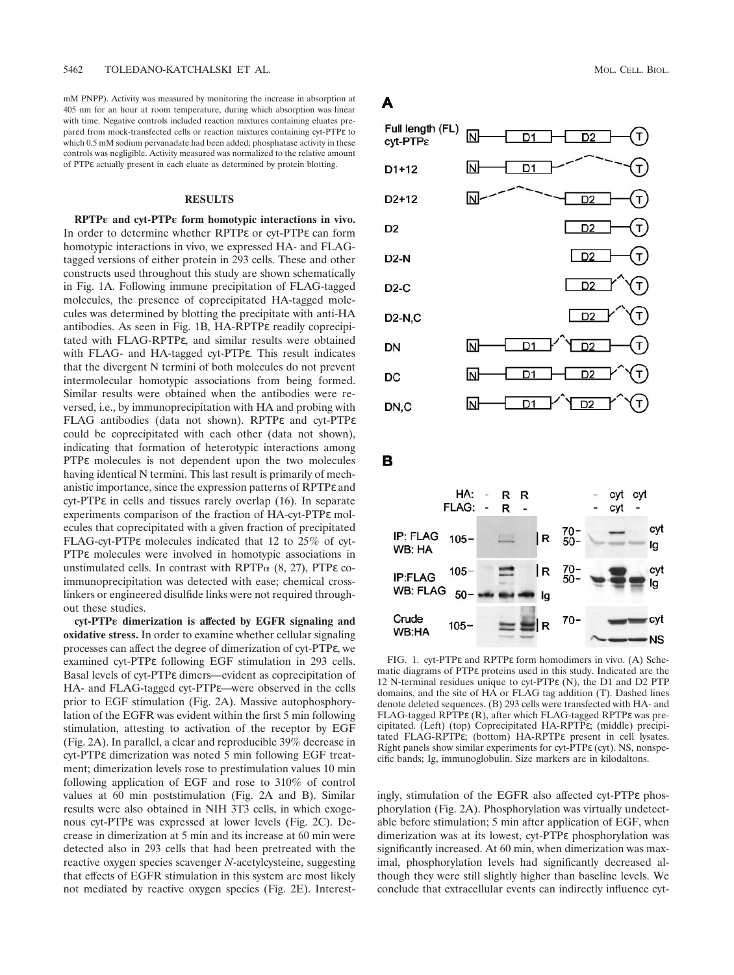mM PNPP). Activity was measured by monitoring the increase in absorption at 405 nm for an hour at room temperature, during which absorption was linear with time. Negative controls included reaction mixtures containing eluates prepared from mock-transfected cells or reaction mixtures containing cyt-PTPε to which 0.5 mM sodium pervanadate had been added; phosphatase activity in these controls was negligible. Activity measured was normalized to the relative amount of PTPε actually present in each eluate as determined by protein blotting.

# **RESULTS**

**RPTP and cyt-PTP form homotypic interactions in vivo.** In order to determine whether RPTPε or cyt-PTPε can form homotypic interactions in vivo, we expressed HA- and FLAGtagged versions of either protein in 293 cells. These and other constructs used throughout this study are shown schematically in Fig. 1A. Following immune precipitation of FLAG-tagged molecules, the presence of coprecipitated HA-tagged molecules was determined by blotting the precipitate with anti-HA antibodies. As seen in Fig. 1B, HA-RPTPε readily coprecipitated with FLAG-RPTPε, and similar results were obtained with FLAG- and HA-tagged cyt-PTPε. This result indicates that the divergent N termini of both molecules do not prevent intermolecular homotypic associations from being formed. Similar results were obtained when the antibodies were reversed, i.e., by immunoprecipitation with HA and probing with FLAG antibodies (data not shown). RPTPε and cyt-PTPε could be coprecipitated with each other (data not shown), indicating that formation of heterotypic interactions among PTPε molecules is not dependent upon the two molecules having identical N termini. This last result is primarily of mechanistic importance, since the expression patterns of RPTPε and cyt-PTPε in cells and tissues rarely overlap (16). In separate experiments comparison of the fraction of HA-cyt-PTPε molecules that coprecipitated with a given fraction of precipitated FLAG-cyt-PTPε molecules indicated that 12 to 25% of cyt-PTPε molecules were involved in homotypic associations in unstimulated cells. In contrast with RPTP $\alpha$  (8, 27), PTP $\varepsilon$  coimmunoprecipitation was detected with ease; chemical crosslinkers or engineered disulfide links were not required throughout these studies.

**cyt-PTP dimerization is affected by EGFR signaling and oxidative stress.** In order to examine whether cellular signaling processes can affect the degree of dimerization of cyt-PTPε, we examined cyt-PTPε following EGF stimulation in 293 cells. Basal levels of cyt-PTPε dimers—evident as coprecipitation of HA- and FLAG-tagged cyt-PTPε—were observed in the cells prior to EGF stimulation (Fig. 2A). Massive autophosphorylation of the EGFR was evident within the first 5 min following stimulation, attesting to activation of the receptor by EGF (Fig. 2A). In parallel, a clear and reproducible 39% decrease in cyt-PTPε dimerization was noted 5 min following EGF treatment; dimerization levels rose to prestimulation values 10 min following application of EGF and rose to 310% of control values at 60 min poststimulation (Fig. 2A and B). Similar results were also obtained in NIH 3T3 cells, in which exogenous cyt-PTPε was expressed at lower levels (Fig. 2C). Decrease in dimerization at 5 min and its increase at 60 min were detected also in 293 cells that had been pretreated with the reactive oxygen species scavenger *N*-acetylcysteine, suggesting that effects of EGFR stimulation in this system are most likely not mediated by reactive oxygen species (Fig. 2E). Interest-





в



FIG. 1. cyt-PTPε and RPTPε form homodimers in vivo. (A) Schematic diagrams of PTPε proteins used in this study. Indicated are the 12 N-terminal residues unique to cyt-PTPε (N), the D1 and D2 PTP domains, and the site of HA or FLAG tag addition (T). Dashed lines denote deleted sequences. (B) 293 cells were transfected with HA- and FLAG-tagged RPTPε (R), after which FLAG-tagged RPTPε was precipitated. (Left) (top) Coprecipitated HA-RPTPε; (middle) precipitated FLAG-RPTPε; (bottom) HA-RPTPε present in cell lysates. Right panels show similar experiments for cyt-PTPε (cyt). NS, nonspecific bands; Ig, immunoglobulin. Size markers are in kilodaltons.

ingly, stimulation of the EGFR also affected cyt-PTPε phosphorylation (Fig. 2A). Phosphorylation was virtually undetectable before stimulation; 5 min after application of EGF, when dimerization was at its lowest, cyt-PTPε phosphorylation was significantly increased. At 60 min, when dimerization was maximal, phosphorylation levels had significantly decreased although they were still slightly higher than baseline levels. We conclude that extracellular events can indirectly influence cyt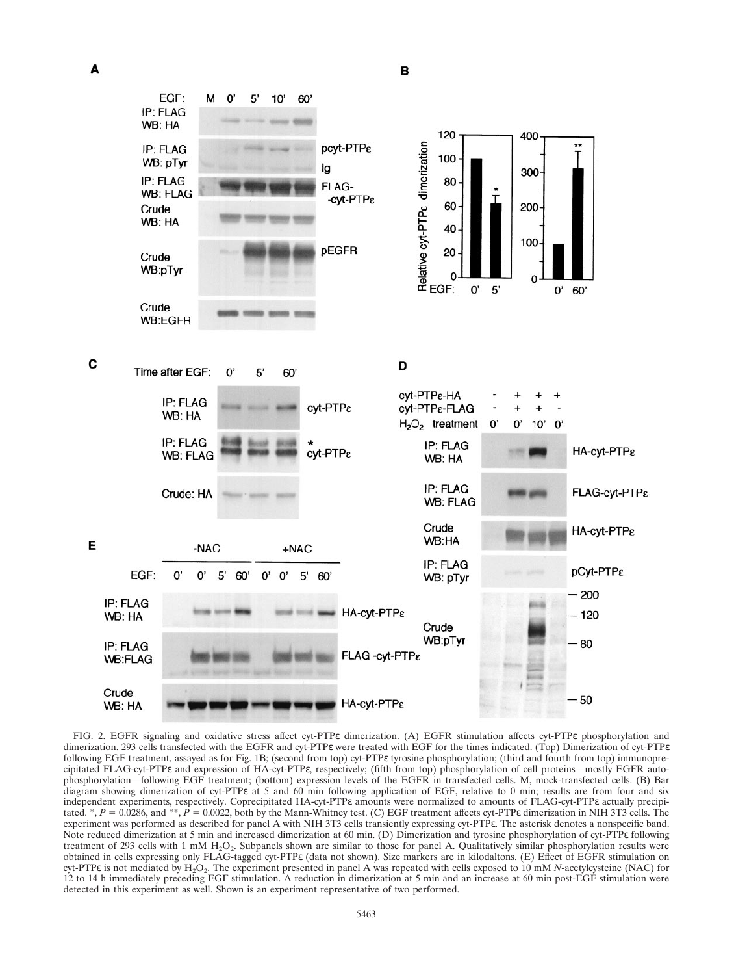A



в

FIG. 2. EGFR signaling and oxidative stress affect cyt-PTPε dimerization. (A) EGFR stimulation affects cyt-PTPε phosphorylation and dimerization. 293 cells transfected with the EGFR and cyt-PTPε were treated with EGF for the times indicated. (Top) Dimerization of cyt-PTPε following EGF treatment, assayed as for Fig. 1B; (second from top) cyt-PTPε tyrosine phosphorylation; (third and fourth from top) immunoprecipitated FLAG-cyt-PTPε and expression of HA-cyt-PTPε, respectively; (fifth from top) phosphorylation of cell proteins—mostly EGFR autophosphorylation—following EGF treatment; (bottom) expression levels of the EGFR in transfected cells. M, mock-transfected cells. (B) Bar diagram showing dimerization of cyt-PTPε at 5 and 60 min following application of EGF, relative to 0 min; results are from four and six independent experiments, respectively. Coprecipitated HA-cyt-PTPε amounts were normalized to amounts of FLAG-cyt-PTPε actually precipitated. \*,  $P = 0.0286$ , and \*\*,  $P = 0.0022$ , both by the Mann-Whitney test. (C) EGF treatment affects cyt-PTPe dimerization in NIH 3T3 cells. The experiment was performed as described for panel A with NIH 3T3 cells transiently expressing cyt-PTPε. The asterisk denotes a nonspecific band. Note reduced dimerization at 5 min and increased dimerization at 60 min. (D) Dimerization and tyrosine phosphorylation of cyt-PTPε following treatment of 293 cells with 1 mM  $H_2O_2$ . Subpanels shown are similar to those for panel A. Qualitatively similar phosphorylation results were obtained in cells expressing only FLAG-tagged cyt-PTPε (data not shown). Size markers are in kilodaltons. (E) Effect of EGFR stimulation on cyt-PTPe is not mediated by H<sub>2</sub>O<sub>2</sub>. The experiment presented in panel A was repeated with cells exposed to 10 mM *N*-acetylcysteine (NAC) for 12 to 14 h immediately preceding EGF stimulation. A reduction in dimerization at 5 min and an increase at 60 min post-EGF stimulation were detected in this experiment as well. Shown is an experiment representative of two performed.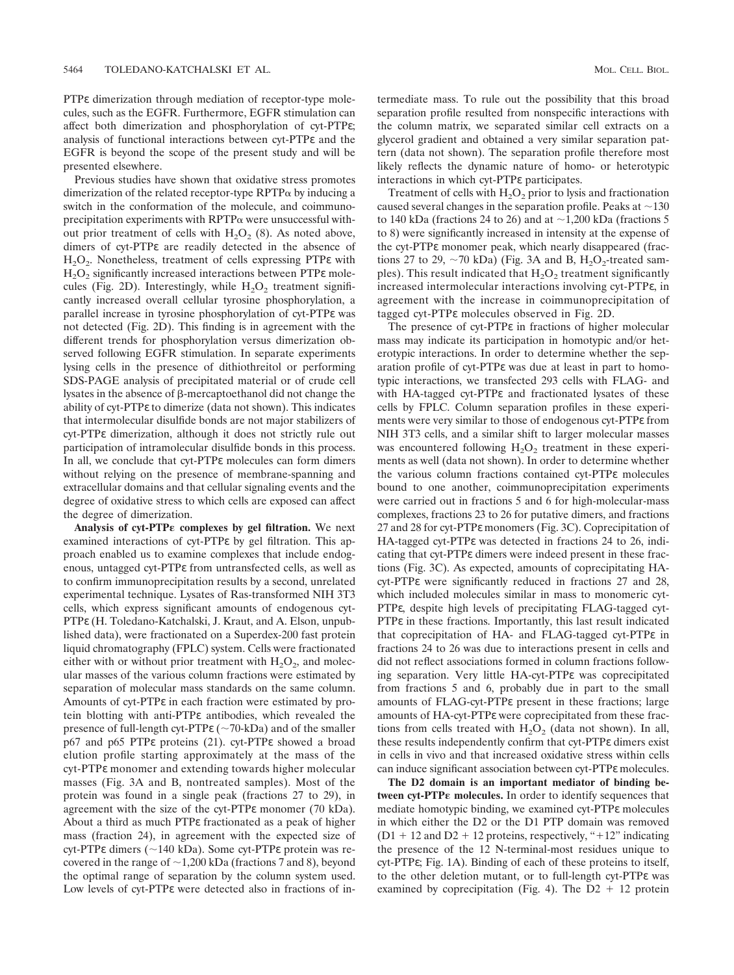PTPε dimerization through mediation of receptor-type molecules, such as the EGFR. Furthermore, EGFR stimulation can affect both dimerization and phosphorylation of cyt-PTPε; analysis of functional interactions between cyt-PTPε and the EGFR is beyond the scope of the present study and will be presented elsewhere.

Previous studies have shown that oxidative stress promotes dimerization of the related receptor-type  $RPTP\alpha$  by inducing a switch in the conformation of the molecule, and coimmunoprecipitation experiments with  $RPTP\alpha$  were unsuccessful without prior treatment of cells with  $H_2O_2$  (8). As noted above, dimers of cyt-PTPε are readily detected in the absence of H2O2. Nonetheless, treatment of cells expressing PTPε with  $H<sub>2</sub>O<sub>2</sub>$  significantly increased interactions between PTP $\varepsilon$  molecules (Fig. 2D). Interestingly, while  $H_2O_2$  treatment significantly increased overall cellular tyrosine phosphorylation, a parallel increase in tyrosine phosphorylation of cyt-PTPε was not detected (Fig. 2D). This finding is in agreement with the different trends for phosphorylation versus dimerization observed following EGFR stimulation. In separate experiments lysing cells in the presence of dithiothreitol or performing SDS-PAGE analysis of precipitated material or of crude cell lysates in the absence of  $\beta$ -mercaptoethanol did not change the ability of cyt-PTPε to dimerize (data not shown). This indicates that intermolecular disulfide bonds are not major stabilizers of cyt-PTPε dimerization, although it does not strictly rule out participation of intramolecular disulfide bonds in this process. In all, we conclude that cyt-PTPε molecules can form dimers without relying on the presence of membrane-spanning and extracellular domains and that cellular signaling events and the degree of oxidative stress to which cells are exposed can affect the degree of dimerization.

Analysis of cyt-PTP<sub>&</sub> complexes by gel filtration. We next examined interactions of cyt-PTPε by gel filtration. This approach enabled us to examine complexes that include endogenous, untagged cyt-PTPε from untransfected cells, as well as to confirm immunoprecipitation results by a second, unrelated experimental technique. Lysates of Ras-transformed NIH 3T3 cells, which express significant amounts of endogenous cyt-PTPε (H. Toledano-Katchalski, J. Kraut, and A. Elson, unpublished data), were fractionated on a Superdex-200 fast protein liquid chromatography (FPLC) system. Cells were fractionated either with or without prior treatment with  $H_2O_2$ , and molecular masses of the various column fractions were estimated by separation of molecular mass standards on the same column. Amounts of cyt-PTPε in each fraction were estimated by protein blotting with anti-PTPε antibodies, which revealed the presence of full-length cyt-PTP $\varepsilon$  ( $\sim$ 70-kDa) and of the smaller p67 and p65 PTPε proteins (21). cyt-PTPε showed a broad elution profile starting approximately at the mass of the cyt-PTPε monomer and extending towards higher molecular masses (Fig. 3A and B, nontreated samples). Most of the protein was found in a single peak (fractions 27 to 29), in agreement with the size of the cyt-PTPε monomer (70 kDa). About a third as much PTPε fractionated as a peak of higher mass (fraction 24), in agreement with the expected size of cyt-PTPε dimers ( $\sim$ 140 kDa). Some cyt-PTPε protein was recovered in the range of  $\sim$  1,200 kDa (fractions 7 and 8), beyond the optimal range of separation by the column system used. Low levels of cyt-PTPε were detected also in fractions of intermediate mass. To rule out the possibility that this broad separation profile resulted from nonspecific interactions with the column matrix, we separated similar cell extracts on a glycerol gradient and obtained a very similar separation pattern (data not shown). The separation profile therefore most likely reflects the dynamic nature of homo- or heterotypic interactions in which cyt-PTPε participates.

Treatment of cells with  $H_2O_2$  prior to lysis and fractionation caused several changes in the separation profile. Peaks at  $\sim$ 130 to 140 kDa (fractions 24 to 26) and at  $\sim$ 1,200 kDa (fractions 5 to 8) were significantly increased in intensity at the expense of the cyt-PTPε monomer peak, which nearly disappeared (fractions 27 to 29,  $\sim$  70 kDa) (Fig. 3A and B, H<sub>2</sub>O<sub>2</sub>-treated samples). This result indicated that  $H_2O_2$  treatment significantly increased intermolecular interactions involving cyt-PTPε, in agreement with the increase in coimmunoprecipitation of tagged cyt-PTPε molecules observed in Fig. 2D.

The presence of cyt-PTPε in fractions of higher molecular mass may indicate its participation in homotypic and/or heterotypic interactions. In order to determine whether the separation profile of cyt-PTPε was due at least in part to homotypic interactions, we transfected 293 cells with FLAG- and with HA-tagged cyt-PTPε and fractionated lysates of these cells by FPLC. Column separation profiles in these experiments were very similar to those of endogenous cyt-PTPε from NIH 3T3 cells, and a similar shift to larger molecular masses was encountered following  $H_2O_2$  treatment in these experiments as well (data not shown). In order to determine whether the various column fractions contained cyt-PTPε molecules bound to one another, coimmunoprecipitation experiments were carried out in fractions 5 and 6 for high-molecular-mass complexes, fractions 23 to 26 for putative dimers, and fractions 27 and 28 for cyt-PTPε monomers (Fig. 3C). Coprecipitation of HA-tagged cyt-PTPε was detected in fractions 24 to 26, indicating that cyt-PTPε dimers were indeed present in these fractions (Fig. 3C). As expected, amounts of coprecipitating HAcyt-PTPε were significantly reduced in fractions 27 and 28, which included molecules similar in mass to monomeric cyt-PTPε, despite high levels of precipitating FLAG-tagged cyt-PTPε in these fractions. Importantly, this last result indicated that coprecipitation of HA- and FLAG-tagged cyt-PTPε in fractions 24 to 26 was due to interactions present in cells and did not reflect associations formed in column fractions following separation. Very little HA-cyt-PTPε was coprecipitated from fractions 5 and 6, probably due in part to the small amounts of FLAG-cyt-PTPε present in these fractions; large amounts of HA-cyt-PTPε were coprecipitated from these fractions from cells treated with  $H_2O_2$  (data not shown). In all, these results independently confirm that cyt-PTPε dimers exist in cells in vivo and that increased oxidative stress within cells can induce significant association between cyt-PTPε molecules.

**The D2 domain is an important mediator of binding between cyt-PTP e** molecules. In order to identify sequences that mediate homotypic binding, we examined cyt-PTPε molecules in which either the D2 or the D1 PTP domain was removed  $(D1 + 12$  and  $D2 + 12$  proteins, respectively, "+12" indicating the presence of the 12 N-terminal-most residues unique to cyt-PTPε; Fig. 1A). Binding of each of these proteins to itself, to the other deletion mutant, or to full-length cyt-PTPε was examined by coprecipitation (Fig. 4). The  $D2 + 12$  protein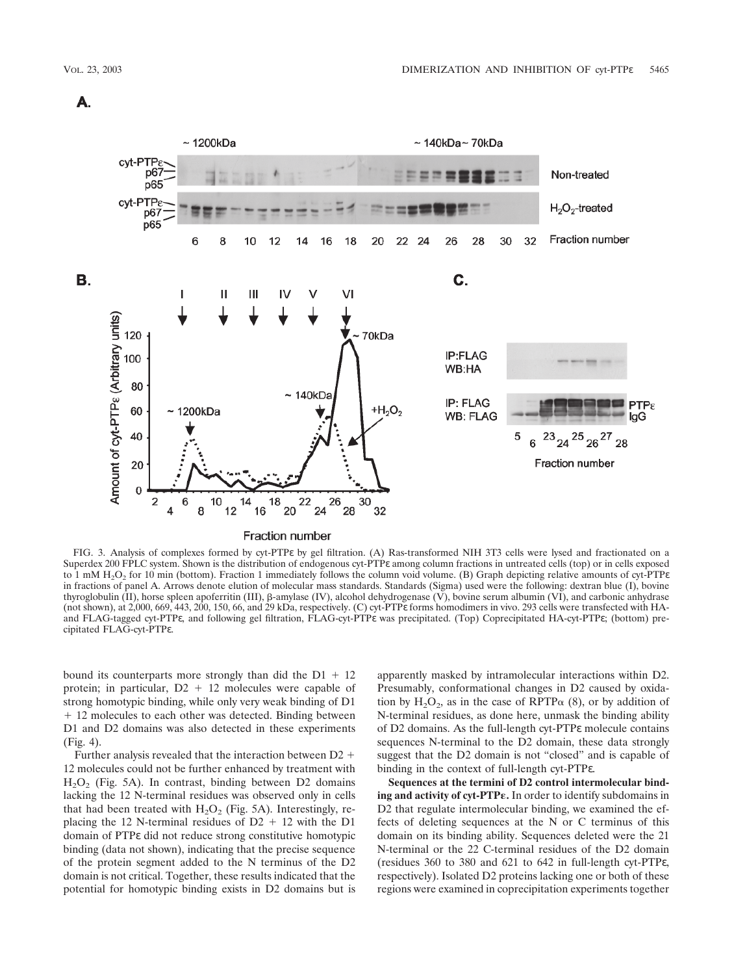А.



FIG. 3. Analysis of complexes formed by cyt-PTPε by gel filtration. (A) Ras-transformed NIH 3T3 cells were lysed and fractionated on a Superdex 200 FPLC system. Shown is the distribution of endogenous cyt-PTPε among column fractions in untreated cells (top) or in cells exposed to 1 mM H<sub>2</sub>O<sub>2</sub> for 10 min (bottom). Fraction 1 immediately follows the column void volume. (B) Graph depicting relative amounts of cyt-PTPε in fractions of panel A. Arrows denote elution of molecular mass standards. Standards (Sigma) used were the following: dextran blue (I), bovine thyroglobulin (II), horse spleen apoferritin (III), β-amylase (IV), alcohol dehydrogenase (V), bovine serum albumin (VI), and carbonic anhydrase (not shown), at 2,000, 669, 443, 200, 150, 66, and 29 kDa, respectively. (C) cyt-PTPε forms homodimers in vivo. 293 cells were transfected with HAand FLAG-tagged cyt-PTPε, and following gel filtration, FLAG-cyt-PTPε was precipitated. (Top) Coprecipitated HA-cyt-PTPε; (bottom) precipitated FLAG-cyt-PTPε.

bound its counterparts more strongly than did the  $D1 + 12$ protein; in particular,  $D2 + 12$  molecules were capable of strong homotypic binding, while only very weak binding of D1 12 molecules to each other was detected. Binding between D1 and D2 domains was also detected in these experiments (Fig. 4).

Further analysis revealed that the interaction between  $D2 +$ 12 molecules could not be further enhanced by treatment with  $H<sub>2</sub>O<sub>2</sub>$  (Fig. 5A). In contrast, binding between D2 domains lacking the 12 N-terminal residues was observed only in cells that had been treated with  $H_2O_2$  (Fig. 5A). Interestingly, replacing the 12 N-terminal residues of  $D2 + 12$  with the D1 domain of PTPε did not reduce strong constitutive homotypic binding (data not shown), indicating that the precise sequence of the protein segment added to the N terminus of the D2 domain is not critical. Together, these results indicated that the potential for homotypic binding exists in D2 domains but is

apparently masked by intramolecular interactions within D2. Presumably, conformational changes in D2 caused by oxidation by  $H_2O_2$ , as in the case of RPTP $\alpha$  (8), or by addition of N-terminal residues, as done here, unmask the binding ability of D2 domains. As the full-length cyt-PTPε molecule contains sequences N-terminal to the D2 domain, these data strongly suggest that the D2 domain is not "closed" and is capable of binding in the context of full-length cyt-PTPε.

**Sequences at the termini of D2 control intermolecular binding and activity of cyt-PTP.** In order to identify subdomains in D2 that regulate intermolecular binding, we examined the effects of deleting sequences at the N or C terminus of this domain on its binding ability. Sequences deleted were the 21 N-terminal or the 22 C-terminal residues of the D2 domain (residues 360 to 380 and 621 to 642 in full-length cyt-PTPε, respectively). Isolated D2 proteins lacking one or both of these regions were examined in coprecipitation experiments together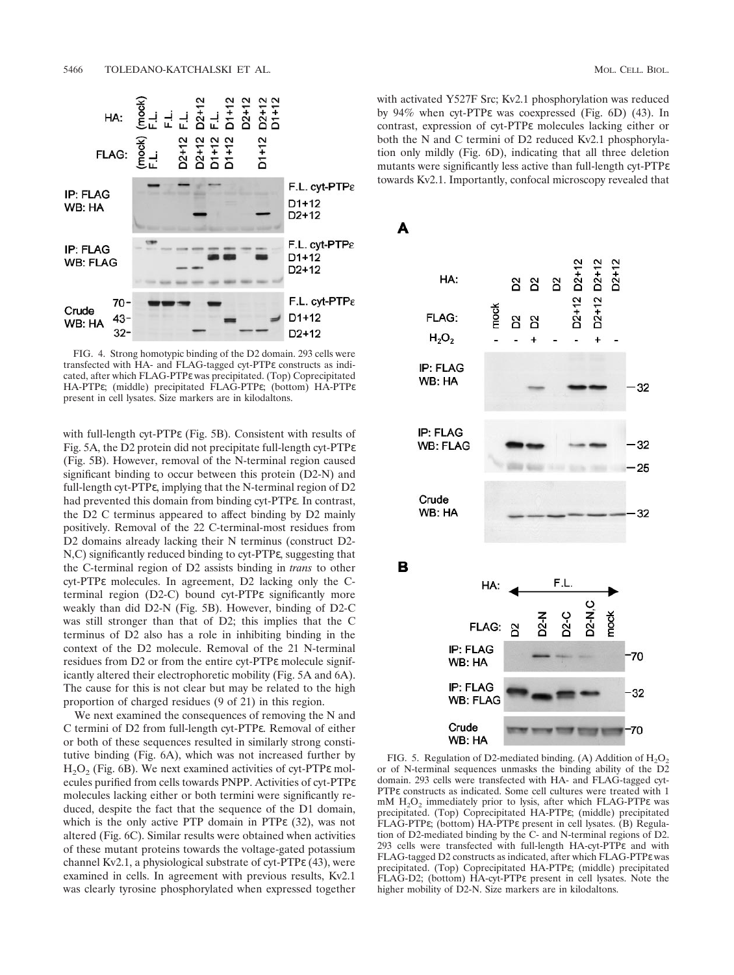

FIG. 4. Strong homotypic binding of the D2 domain. 293 cells were transfected with HA- and FLAG-tagged cyt-PTPε constructs as indicated, after which FLAG-PTPε was precipitated. (Top) Coprecipitated HA-PTPε; (middle) precipitated FLAG-PTPε; (bottom) HA-PTPε present in cell lysates. Size markers are in kilodaltons.

with full-length cyt-PTPε (Fig. 5B). Consistent with results of Fig. 5A, the D2 protein did not precipitate full-length cyt-PTPε (Fig. 5B). However, removal of the N-terminal region caused significant binding to occur between this protein (D2-N) and full-length cyt-PTPε, implying that the N-terminal region of D2 had prevented this domain from binding cyt-PTPε. In contrast, the D2 C terminus appeared to affect binding by D2 mainly positively. Removal of the 22 C-terminal-most residues from D2 domains already lacking their N terminus (construct D2- N,C) significantly reduced binding to cyt-PTPε, suggesting that the C-terminal region of D2 assists binding in *trans* to other cyt-PTPε molecules. In agreement, D2 lacking only the Cterminal region (D2-C) bound cyt-PTPε significantly more weakly than did D2-N (Fig. 5B). However, binding of D2-C was still stronger than that of D2; this implies that the C terminus of D2 also has a role in inhibiting binding in the context of the D2 molecule. Removal of the 21 N-terminal residues from D2 or from the entire cyt-PTPε molecule significantly altered their electrophoretic mobility (Fig. 5A and 6A). The cause for this is not clear but may be related to the high proportion of charged residues (9 of 21) in this region.

We next examined the consequences of removing the N and C termini of D2 from full-length cyt-PTPε. Removal of either or both of these sequences resulted in similarly strong constitutive binding (Fig. 6A), which was not increased further by  $H<sub>2</sub>O<sub>2</sub>$  (Fig. 6B). We next examined activities of cyt-PTP $\varepsilon$  molecules purified from cells towards PNPP. Activities of cyt-PTPε molecules lacking either or both termini were significantly reduced, despite the fact that the sequence of the D1 domain, which is the only active PTP domain in PTPε (32), was not altered (Fig. 6C). Similar results were obtained when activities of these mutant proteins towards the voltage-gated potassium channel Kv2.1, a physiological substrate of cyt-PTPε (43), were examined in cells. In agreement with previous results, Kv2.1 was clearly tyrosine phosphorylated when expressed together

with activated Y527F Src; Kv2.1 phosphorylation was reduced by 94% when cyt-PTPε was coexpressed (Fig. 6D) (43). In contrast, expression of cyt-PTPε molecules lacking either or both the N and C termini of D2 reduced Kv2.1 phosphorylation only mildly (Fig. 6D), indicating that all three deletion mutants were significantly less active than full-length cyt-PTPε towards Kv2.1. Importantly, confocal microscopy revealed that

A



FIG. 5. Regulation of D2-mediated binding. (A) Addition of  $H_2O_2$ or of N-terminal sequences unmasks the binding ability of the D2 domain. 293 cells were transfected with HA- and FLAG-tagged cyt-PTPε constructs as indicated. Some cell cultures were treated with 1 mM H<sub>2</sub>O<sub>2</sub> immediately prior to lysis, after which FLAG-PTPε was precipitated. (Top) Coprecipitated HA-PTPε; (middle) precipitated FLAG-PTPε; (bottom) HA-PTPε present in cell lysates. (B) Regulation of D2-mediated binding by the C- and N-terminal regions of D2. 293 cells were transfected with full-length HA-cyt-PTPε and with FLAG-tagged D2 constructs as indicated, after which FLAG-PTPε was precipitated. (Top) Coprecipitated HA-PTPε; (middle) precipitated FLAG-D2; (bottom) HA-cyt-PTPε present in cell lysates. Note the higher mobility of D2-N. Size markers are in kilodaltons.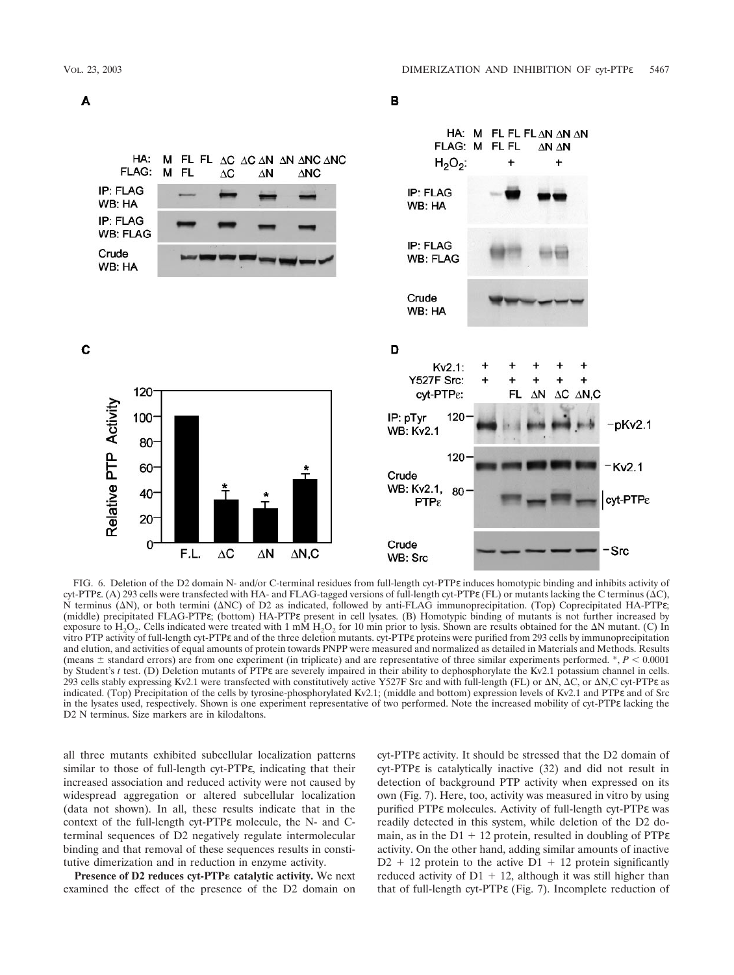

FIG. 6. Deletion of the D2 domain N- and/or C-terminal residues from full-length cyt-PTPε induces homotypic binding and inhibits activity of cyt-PTPe.  $(A)$  293 cells were transfected with HA- and FLAG-tagged versions of full-length cyt-PTPe (FL) or mutants lacking the C terminus  $(AC)$ , N terminus (N), or both termini (NC) of D2 as indicated, followed by anti-FLAG immunoprecipitation. (Top) Coprecipitated HA-PTPε; (middle) precipitated FLAG-PTPε; (bottom) HA-PTPε present in cell lysates. (B) Homotypic binding of mutants is not further increased by exposure to H<sub>2</sub>O<sub>2</sub>. Cells indicated were treated with 1 mM H<sub>2</sub>O<sub>2</sub> for 10 min prior to lysis. Shown are results obtained for the  $\Delta N$  mutant. (C) In vitro PTP activity of full-length cyt-PTPε and of the three deletion mutants. cyt-PTPε proteins were purified from 293 cells by immunoprecipitation and elution, and activities of equal amounts of protein towards PNPP were measured and normalized as detailed in Materials and Methods. Results (means  $\pm$  standard errors) are from one experiment (in triplicate) and are representative of three similar experiments performed.  $\ast$ ,  $P < 0.0001$ by Student's *t* test. (D) Deletion mutants of PTPε are severely impaired in their ability to dephosphorylate the Kv2.1 potassium channel in cells. 293 cells stably expressing Kv2.1 were transfected with constitutively active Y527F Src and with full-length (FL) or N, C, or N,C cyt-PTPε as indicated. (Top) Precipitation of the cells by tyrosine-phosphorylated Kv2.1; (middle and bottom) expression levels of Kv2.1 and PTPε and of Src in the lysates used, respectively. Shown is one experiment representative of two performed. Note the increased mobility of cyt-PTPε lacking the D2 N terminus. Size markers are in kilodaltons.

all three mutants exhibited subcellular localization patterns similar to those of full-length cyt-PTPε, indicating that their increased association and reduced activity were not caused by widespread aggregation or altered subcellular localization (data not shown). In all, these results indicate that in the context of the full-length cyt-PTPε molecule, the N- and Cterminal sequences of D2 negatively regulate intermolecular binding and that removal of these sequences results in constitutive dimerization and in reduction in enzyme activity.

Presence of D2 reduces cyt-PTP<sub>ε</sub> catalytic activity. We next examined the effect of the presence of the D2 domain on cyt-PTPε activity. It should be stressed that the D2 domain of cyt-PTPε is catalytically inactive (32) and did not result in detection of background PTP activity when expressed on its own (Fig. 7). Here, too, activity was measured in vitro by using purified PTPε molecules. Activity of full-length cyt-PTPε was readily detected in this system, while deletion of the D2 domain, as in the D1 + 12 protein, resulted in doubling of PTP $\varepsilon$ activity. On the other hand, adding similar amounts of inactive  $D2 + 12$  protein to the active  $D1 + 12$  protein significantly reduced activity of  $D1 + 12$ , although it was still higher than that of full-length cyt-PTPε (Fig. 7). Incomplete reduction of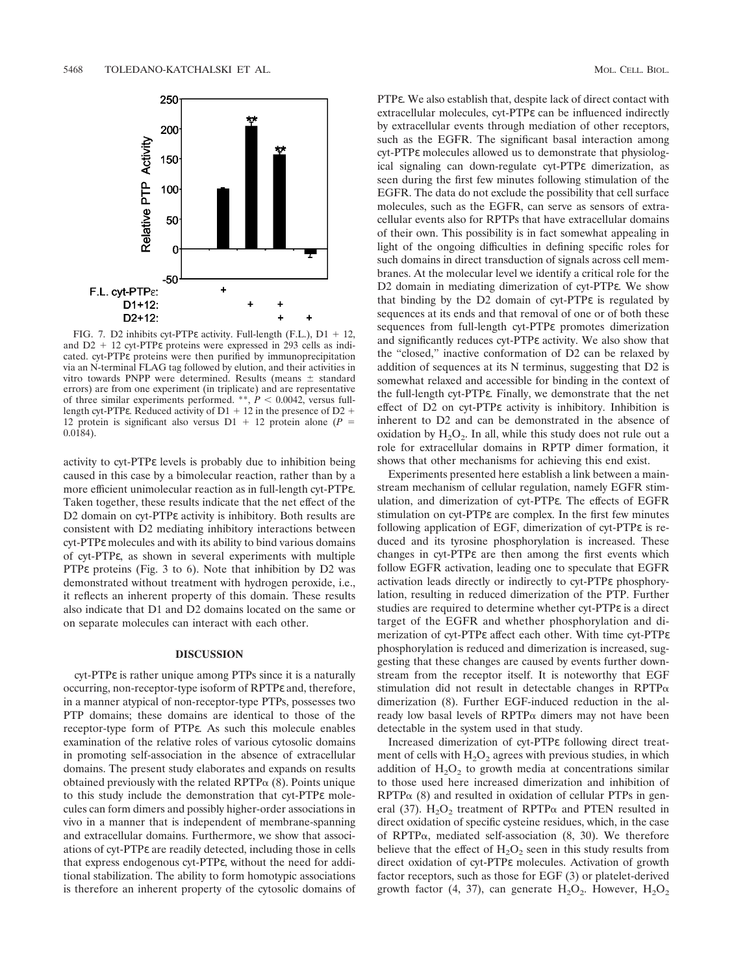

FIG. 7. D2 inhibits cyt-PTP $\varepsilon$  activity. Full-length (F.L.), D1 + 12, and  $D2 + 12$  cyt-PTP $\varepsilon$  proteins were expressed in 293 cells as indicated. cyt-PTPε proteins were then purified by immunoprecipitation via an N-terminal FLAG tag followed by elution, and their activities in vitro towards PNPP were determined. Results (means  $\pm$  standard errors) are from one experiment (in triplicate) and are representative of three similar experiments performed. \*\*,  $P < 0.0042$ , versus fulllength cyt-PTPs. Reduced activity of  $D1 + 12$  in the presence of  $D2 +$ 12 protein is significant also versus  $D1 + 12$  protein alone ( $P =$ 0.0184).

activity to cyt-PTPε levels is probably due to inhibition being caused in this case by a bimolecular reaction, rather than by a more efficient unimolecular reaction as in full-length cyt-PTPε. Taken together, these results indicate that the net effect of the D2 domain on cyt-PTPε activity is inhibitory. Both results are consistent with D2 mediating inhibitory interactions between cyt-PTPε molecules and with its ability to bind various domains of cyt-PTPε, as shown in several experiments with multiple PTPε proteins (Fig. 3 to 6). Note that inhibition by D2 was demonstrated without treatment with hydrogen peroxide, i.e., it reflects an inherent property of this domain. These results also indicate that D1 and D2 domains located on the same or on separate molecules can interact with each other.

## **DISCUSSION**

cyt-PTPε is rather unique among PTPs since it is a naturally occurring, non-receptor-type isoform of RPTPε and, therefore, in a manner atypical of non-receptor-type PTPs, possesses two PTP domains; these domains are identical to those of the receptor-type form of PTPε. As such this molecule enables examination of the relative roles of various cytosolic domains in promoting self-association in the absence of extracellular domains. The present study elaborates and expands on results obtained previously with the related  $RPTP\alpha$  (8). Points unique to this study include the demonstration that cyt-PTPε molecules can form dimers and possibly higher-order associations in vivo in a manner that is independent of membrane-spanning and extracellular domains. Furthermore, we show that associations of cyt-PTPε are readily detected, including those in cells that express endogenous cyt-PTPε, without the need for additional stabilization. The ability to form homotypic associations is therefore an inherent property of the cytosolic domains of PTPε. We also establish that, despite lack of direct contact with extracellular molecules, cyt-PTPε can be influenced indirectly by extracellular events through mediation of other receptors, such as the EGFR. The significant basal interaction among cyt-PTPε molecules allowed us to demonstrate that physiological signaling can down-regulate cyt-PTPε dimerization, as seen during the first few minutes following stimulation of the EGFR. The data do not exclude the possibility that cell surface molecules, such as the EGFR, can serve as sensors of extracellular events also for RPTPs that have extracellular domains of their own. This possibility is in fact somewhat appealing in light of the ongoing difficulties in defining specific roles for such domains in direct transduction of signals across cell membranes. At the molecular level we identify a critical role for the D2 domain in mediating dimerization of cyt-PTPε. We show that binding by the D2 domain of cyt-PTPε is regulated by sequences at its ends and that removal of one or of both these sequences from full-length cyt-PTPε promotes dimerization and significantly reduces cyt-PTPε activity. We also show that the "closed," inactive conformation of D2 can be relaxed by addition of sequences at its N terminus, suggesting that D2 is somewhat relaxed and accessible for binding in the context of the full-length cyt-PTPε. Finally, we demonstrate that the net effect of D2 on cyt-PTPε activity is inhibitory. Inhibition is inherent to D2 and can be demonstrated in the absence of oxidation by  $H_2O_2$ . In all, while this study does not rule out a role for extracellular domains in RPTP dimer formation, it shows that other mechanisms for achieving this end exist.

Experiments presented here establish a link between a mainstream mechanism of cellular regulation, namely EGFR stimulation, and dimerization of cyt-PTPε. The effects of EGFR stimulation on cyt-PTPε are complex. In the first few minutes following application of EGF, dimerization of cyt-PTPε is reduced and its tyrosine phosphorylation is increased. These changes in cyt-PTPε are then among the first events which follow EGFR activation, leading one to speculate that EGFR activation leads directly or indirectly to cyt-PTPε phosphorylation, resulting in reduced dimerization of the PTP. Further studies are required to determine whether cyt-PTPε is a direct target of the EGFR and whether phosphorylation and dimerization of cyt-PTPε affect each other. With time cyt-PTPε phosphorylation is reduced and dimerization is increased, suggesting that these changes are caused by events further downstream from the receptor itself. It is noteworthy that EGF stimulation did not result in detectable changes in  $RPTP\alpha$ dimerization (8). Further EGF-induced reduction in the already low basal levels of  $RPTP\alpha$  dimers may not have been detectable in the system used in that study.

Increased dimerization of cyt-PTPε following direct treatment of cells with  $H_2O_2$  agrees with previous studies, in which addition of  $H_2O_2$  to growth media at concentrations similar to those used here increased dimerization and inhibition of  $RPTP\alpha$  (8) and resulted in oxidation of cellular PTPs in general (37). H<sub>2</sub>O<sub>2</sub> treatment of RPTP $\alpha$  and PTEN resulted in direct oxidation of specific cysteine residues, which, in the case of RPTP $\alpha$ , mediated self-association (8, 30). We therefore believe that the effect of  $H_2O_2$  seen in this study results from direct oxidation of cyt-PTPε molecules. Activation of growth factor receptors, such as those for EGF (3) or platelet-derived growth factor (4, 37), can generate  $H_2O_2$ . However,  $H_2O_2$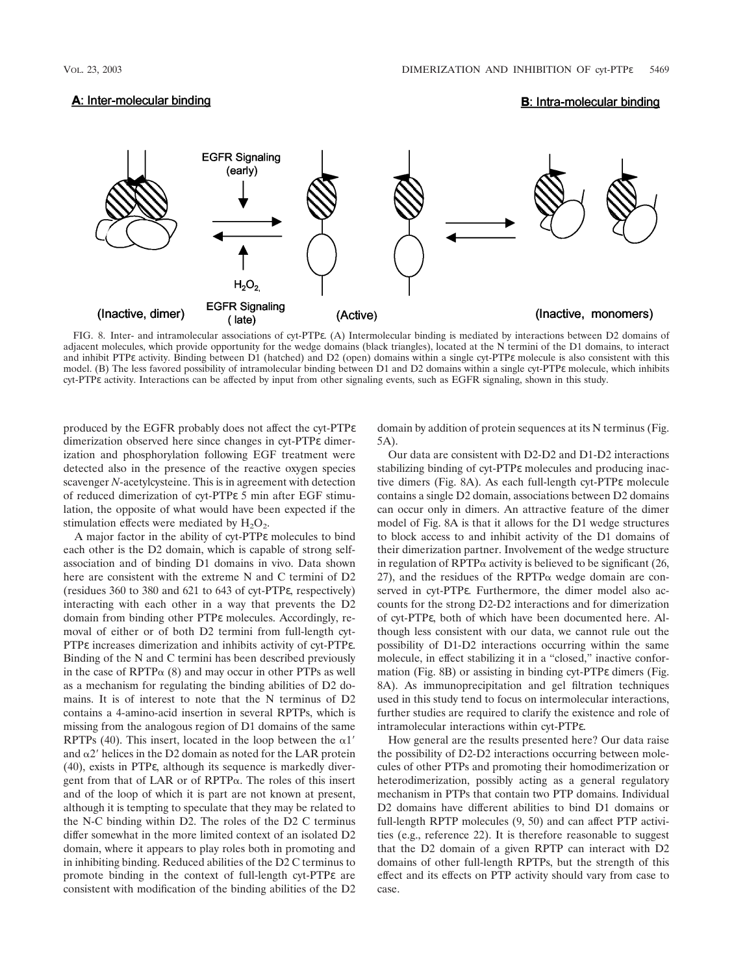# A: Inter-molecular binding

## **B: Intra-molecular binding**



FIG. 8. Inter- and intramolecular associations of cyt-PTPε. (A) Intermolecular binding is mediated by interactions between D2 domains of adjacent molecules, which provide opportunity for the wedge domains (black triangles), located at the N termini of the D1 domains, to interact and inhibit PTPε activity. Binding between D1 (hatched) and D2 (open) domains within a single cyt-PTPε molecule is also consistent with this model. (B) The less favored possibility of intramolecular binding between D1 and D2 domains within a single cyt-PTPE molecule, which inhibits cyt-PTPε activity. Interactions can be affected by input from other signaling events, such as EGFR signaling, shown in this study.

produced by the EGFR probably does not affect the cyt-PTPε dimerization observed here since changes in cyt-PTPε dimerization and phosphorylation following EGF treatment were detected also in the presence of the reactive oxygen species scavenger *N*-acetylcysteine. This is in agreement with detection of reduced dimerization of cyt-PTPε 5 min after EGF stimulation, the opposite of what would have been expected if the stimulation effects were mediated by  $H_2O_2$ .

A major factor in the ability of cyt-PTPε molecules to bind each other is the D2 domain, which is capable of strong selfassociation and of binding D1 domains in vivo. Data shown here are consistent with the extreme N and C termini of D2 (residues 360 to 380 and 621 to 643 of cyt-PTPε, respectively) interacting with each other in a way that prevents the D2 domain from binding other PTPε molecules. Accordingly, removal of either or of both D2 termini from full-length cyt-PTPε increases dimerization and inhibits activity of cyt-PTPε. Binding of the N and C termini has been described previously in the case of RPTP $\alpha$  (8) and may occur in other PTPs as well as a mechanism for regulating the binding abilities of D2 domains. It is of interest to note that the N terminus of D2 contains a 4-amino-acid insertion in several RPTPs, which is missing from the analogous region of D1 domains of the same RPTPs (40). This insert, located in the loop between the  $\alpha$ 1' and  $\alpha$ <sup>2</sup> helices in the D2 domain as noted for the LAR protein (40), exists in PTPε, although its sequence is markedly divergent from that of LAR or of  $RPTP\alpha$ . The roles of this insert and of the loop of which it is part are not known at present, although it is tempting to speculate that they may be related to the N-C binding within D2. The roles of the D2 C terminus differ somewhat in the more limited context of an isolated D2 domain, where it appears to play roles both in promoting and in inhibiting binding. Reduced abilities of the D2 C terminus to promote binding in the context of full-length cyt-PTPε are consistent with modification of the binding abilities of the D2

domain by addition of protein sequences at its N terminus (Fig. 5A).

Our data are consistent with D2-D2 and D1-D2 interactions stabilizing binding of cyt-PTPε molecules and producing inactive dimers (Fig. 8A). As each full-length cyt-PTPε molecule contains a single D2 domain, associations between D2 domains can occur only in dimers. An attractive feature of the dimer model of Fig. 8A is that it allows for the D1 wedge structures to block access to and inhibit activity of the D1 domains of their dimerization partner. Involvement of the wedge structure in regulation of RPTP $\alpha$  activity is believed to be significant (26, 27), and the residues of the RPTP $\alpha$  wedge domain are conserved in cyt-PTPε. Furthermore, the dimer model also accounts for the strong D2-D2 interactions and for dimerization of cyt-PTPε, both of which have been documented here. Although less consistent with our data, we cannot rule out the possibility of D1-D2 interactions occurring within the same molecule, in effect stabilizing it in a "closed," inactive conformation (Fig. 8B) or assisting in binding cyt-PTPε dimers (Fig. 8A). As immunoprecipitation and gel filtration techniques used in this study tend to focus on intermolecular interactions, further studies are required to clarify the existence and role of intramolecular interactions within cyt-PTPε.

How general are the results presented here? Our data raise the possibility of D2-D2 interactions occurring between molecules of other PTPs and promoting their homodimerization or heterodimerization, possibly acting as a general regulatory mechanism in PTPs that contain two PTP domains. Individual D2 domains have different abilities to bind D1 domains or full-length RPTP molecules (9, 50) and can affect PTP activities (e.g., reference 22). It is therefore reasonable to suggest that the D2 domain of a given RPTP can interact with D2 domains of other full-length RPTPs, but the strength of this effect and its effects on PTP activity should vary from case to case.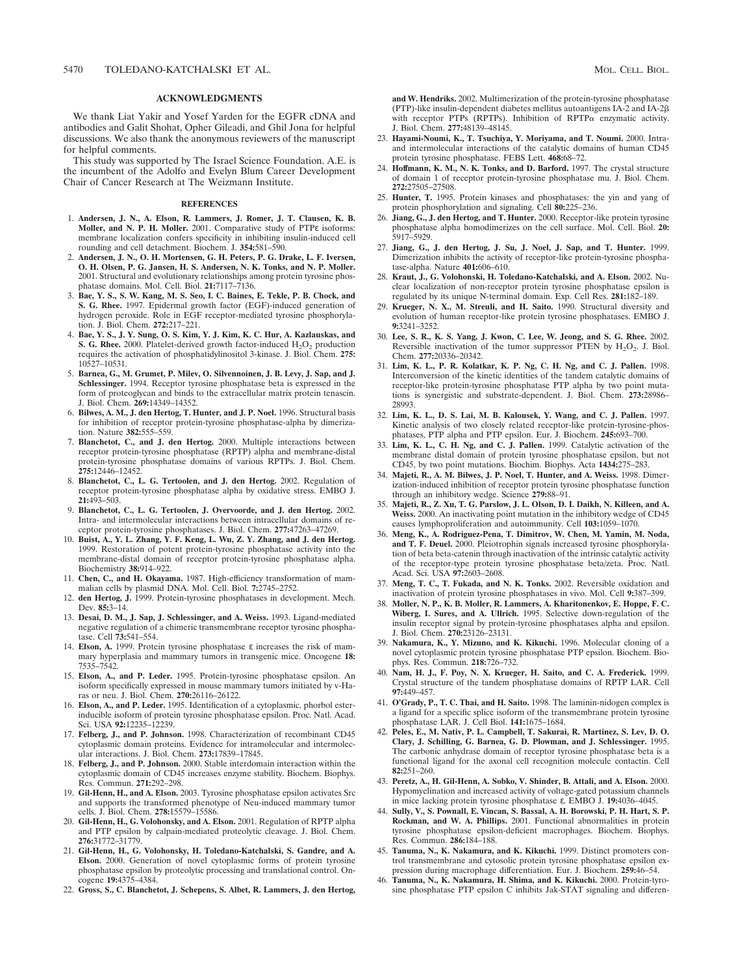## **ACKNOWLEDGMENTS**

We thank Liat Yakir and Yosef Yarden for the EGFR cDNA and antibodies and Galit Shohat, Opher Gileadi, and Ghil Jona for helpful discussions. We also thank the anonymous reviewers of the manuscript for helpful comments.

This study was supported by The Israel Science Foundation. A.E. is the incumbent of the Adolfo and Evelyn Blum Career Development Chair of Cancer Research at The Weizmann Institute.

#### **REFERENCES**

- 1. **Andersen, J. N., A. Elson, R. Lammers, J. Romer, J. T. Clausen, K. B. Moller, and N. P. H. Moller.** 2001. Comparative study of PTPε isoforms: membrane localization confers specificity in inhibiting insulin-induced cell rounding and cell detachment. Biochem. J. **354:**581–590.
- 2. **Andersen, J. N., O. H. Mortensen, G. H. Peters, P. G. Drake, L. F. Iversen, O. H. Olsen, P. G. Jansen, H. S. Andersen, N. K. Tonks, and N. P. Moller.** 2001. Structural and evolutionary relationships among protein tyrosine phosphatase domains. Mol. Cell. Biol. **21:**7117–7136.
- 3. **Bae, Y. S., S. W. Kang, M. S. Seo, I. C. Baines, E. Tekle, P. B. Chock, and S. G. Rhee.** 1997. Epidermal growth factor (EGF)-induced generation of hydrogen peroxide. Role in EGF receptor-mediated tyrosine phosphorylation. J. Biol. Chem. **272:**217–221.
- 4. **Bae, Y. S., J. Y. Sung, O. S. Kim, Y. J. Kim, K. C. Hur, A. Kazlauskas, and S. G. Rhee.** 2000. Platelet-derived growth factor-induced  $H_2O_2$  production requires the activation of phosphatidylinositol 3-kinase. J. Biol. Chem. **275:** 10527–10531.
- 5. **Barnea, G., M. Grumet, P. Milev, O. Silvennoinen, J. B. Levy, J. Sap, and J. Schlessinger.** 1994. Receptor tyrosine phosphatase beta is expressed in the form of proteoglycan and binds to the extracellular matrix protein tenascin. J. Biol. Chem. **269:**14349–14352.
- 6. **Bilwes, A. M., J. den Hertog, T. Hunter, and J. P. Noel.** 1996. Structural basis for inhibition of receptor protein-tyrosine phosphatase-alpha by dimerization. Nature **382:**555–559.
- 7. **Blanchetot, C., and J. den Hertog.** 2000. Multiple interactions between receptor protein-tyrosine phosphatase (RPTP) alpha and membrane-distal protein-tyrosine phosphatase domains of various RPTPs. J. Biol. Chem. **275:**12446–12452.
- 8. **Blanchetot, C., L. G. Tertoolen, and J. den Hertog.** 2002. Regulation of receptor protein-tyrosine phosphatase alpha by oxidative stress. EMBO J. **21:**493–503.
- 9. **Blanchetot, C., L. G. Tertoolen, J. Overvoorde, and J. den Hertog.** 2002. Intra- and intermolecular interactions between intracellular domains of receptor protein-tyrosine phosphatases. J. Biol. Chem. **277:**47263–47269.
- 10. **Buist, A., Y. L. Zhang, Y. F. Keng, L. Wu, Z. Y. Zhang, and J. den Hertog.** 1999. Restoration of potent protein-tyrosine phosphatase activity into the membrane-distal domain of receptor protein-tyrosine phosphatase alpha. Biochemistry **38:**914–922.
- 11. **Chen, C., and H. Okayama.** 1987. High-efficiency transformation of mammalian cells by plasmid DNA. Mol. Cell. Biol. **7:**2745–2752.
- 12. **den Hertog, J.** 1999. Protein-tyrosine phosphatases in development. Mech. Dev. **85:**3–14.
- 13. **Desai, D. M., J. Sap, J. Schlessinger, and A. Weiss.** 1993. Ligand-mediated negative regulation of a chimeric transmembrane receptor tyrosine phosphatase. Cell **73:**541–554.
- 14. **Elson, A.** 1999. Protein tyrosine phosphatase ε increases the risk of mammary hyperplasia and mammary tumors in transgenic mice. Oncogene **18:** 7535–7542.
- 15. **Elson, A., and P. Leder.** 1995. Protein-tyrosine phosphatase epsilon. An isoform specifically expressed in mouse mammary tumors initiated by v-Haras or neu. J. Biol. Chem. **270:**26116–26122.
- 16. **Elson, A., and P. Leder.** 1995. Identification of a cytoplasmic, phorbol esterinducible isoform of protein tyrosine phosphatase epsilon. Proc. Natl. Acad. Sci. USA **92:**12235–12239.
- 17. **Felberg, J., and P. Johnson.** 1998. Characterization of recombinant CD45 cytoplasmic domain proteins. Evidence for intramolecular and intermolecular interactions. J. Biol. Chem. **273:**17839–17845.
- 18. **Felberg, J., and P. Johnson.** 2000. Stable interdomain interaction within the cytoplasmic domain of CD45 increases enzyme stability. Biochem. Biophys. Res. Commun. **271:**292–298.
- 19. **Gil-Henn, H., and A. Elson.** 2003. Tyrosine phosphatase epsilon activates Src and supports the transformed phenotype of Neu-induced mammary tumor cells. J. Biol. Chem. **278:**15579–15586.
- 20. **Gil-Henn, H., G. Volohonsky, and A. Elson.** 2001. Regulation of RPTP alpha and PTP epsilon by calpain-mediated proteolytic cleavage. J. Biol. Chem. **276:**31772–31779.
- 21. **Gil-Henn, H., G. Volohonsky, H. Toledano-Katchalski, S. Gandre, and A. Elson.** 2000. Generation of novel cytoplasmic forms of protein tyrosine phosphatase epsilon by proteolytic processing and translational control. Oncogene **19:**4375–4384.
- 22. **Gross, S., C. Blanchetot, J. Schepens, S. Albet, R. Lammers, J. den Hertog,**

**and W. Hendriks.** 2002. Multimerization of the protein-tyrosine phosphatase (PTP)-like insulin-dependent diabetes mellitus autoantigens IA-2 and IA-2 $\beta$ with receptor PTPs (RPTPs). Inhibition of RPTP $\alpha$  enzymatic activity. J. Biol. Chem. **277:**48139–48145.

- 23. **Hayami-Noumi, K., T. Tsuchiya, Y. Moriyama, and T. Noumi.** 2000. Intraand intermolecular interactions of the catalytic domains of human CD45 protein tyrosine phosphatase. FEBS Lett. **468:**68–72.
- 24. **Hoffmann, K. M., N. K. Tonks, and D. Barford.** 1997. The crystal structure of domain 1 of receptor protein-tyrosine phosphatase mu. J. Biol. Chem. **272:**27505–27508.
- 25. **Hunter, T.** 1995. Protein kinases and phosphatases: the yin and yang of protein phosphorylation and signaling. Cell **80:**225–236.
- 26. **Jiang, G., J. den Hertog, and T. Hunter.** 2000. Receptor-like protein tyrosine phosphatase alpha homodimerizes on the cell surface. Mol. Cell. Biol. **20:** 5917–5929.
- 27. **Jiang, G., J. den Hertog, J. Su, J. Noel, J. Sap, and T. Hunter.** 1999. Dimerization inhibits the activity of receptor-like protein-tyrosine phosphatase-alpha. Nature **401:**606–610.
- 28. **Kraut, J., G. Volohonski, H. Toledano-Katchalski, and A. Elson.** 2002. Nuclear localization of non-receptor protein tyrosine phosphatase epsilon is regulated by its unique N-terminal domain. Exp. Cell Res. **281:**182–189.
- 29. **Krueger, N. X., M. Streuli, and H. Saito.** 1990. Structural diversity and evolution of human receptor-like protein tyrosine phosphatases. EMBO J. **9:**3241–3252.
- 30. **Lee, S. R., K. S. Yang, J. Kwon, C. Lee, W. Jeong, and S. G. Rhee.** 2002. Reversible inactivation of the tumor suppressor PTEN by  $H_2O_2$ . J. Biol. Chem. **277:**20336–20342.
- 31. **Lim, K. L., P. R. Kolatkar, K. P. Ng, C. H. Ng, and C. J. Pallen.** 1998. Interconversion of the kinetic identities of the tandem catalytic domains of receptor-like protein-tyrosine phosphatase PTP alpha by two point mutations is synergistic and substrate-dependent. J. Biol. Chem. **273:**28986– 28993.
- 32. **Lim, K. L., D. S. Lai, M. B. Kalousek, Y. Wang, and C. J. Pallen.** 1997. Kinetic analysis of two closely related receptor-like protein-tyrosine-phosphatases, PTP alpha and PTP epsilon. Eur. J. Biochem. **245:**693–700.
- 33. **Lim, K. L., C. H. Ng, and C. J. Pallen.** 1999. Catalytic activation of the membrane distal domain of protein tyrosine phosphatase epsilon, but not CD45, by two point mutations. Biochim. Biophys. Acta **1434:**275–283.
- 34. **Majeti, R., A. M. Bilwes, J. P. Noel, T. Hunter, and A. Weiss.** 1998. Dimerization-induced inhibition of receptor protein tyrosine phosphatase function through an inhibitory wedge. Science **279:**88–91.
- 35. **Majeti, R., Z. Xu, T. G. Parslow, J. L. Olson, D. I. Daikh, N. Killeen, and A. Weiss.** 2000. An inactivating point mutation in the inhibitory wedge of CD45 causes lymphoproliferation and autoimmunity. Cell **103:**1059–1070.
- 36. **Meng, K., A. Rodriguez-Pena, T. Dimitrov, W. Chen, M. Yamin, M. Noda, and T. F. Deuel.** 2000. Pleiotrophin signals increased tyrosine phosphorylation of beta beta-catenin through inactivation of the intrinsic catalytic activity of the receptor-type protein tyrosine phosphatase beta/zeta. Proc. Natl. Acad. Sci. USA **97:**2603–2608.
- 37. **Meng, T. C., T. Fukada, and N. K. Tonks.** 2002. Reversible oxidation and inactivation of protein tyrosine phosphatases in vivo. Mol. Cell **9:**387–399.
- 38. **Moller, N. P., K. B. Moller, R. Lammers, A. Kharitonenkov, E. Hoppe, F. C. Wiberg, I. Sures, and A. Ullrich.** 1995. Selective down-regulation of the insulin receptor signal by protein-tyrosine phosphatases alpha and epsilon. J. Biol. Chem. **270:**23126–23131.
- 39. **Nakamura, K., Y. Mizuno, and K. Kikuchi.** 1996. Molecular cloning of a novel cytoplasmic protein tyrosine phosphatase PTP epsilon. Biochem. Biophys. Res. Commun. **218:**726–732.
- 40. **Nam, H. J., F. Poy, N. X. Krueger, H. Saito, and C. A. Frederick.** 1999. Crystal structure of the tandem phosphatase domains of RPTP LAR. Cell **97:**449–457.
- 41. **O'Grady, P., T. C. Thai, and H. Saito.** 1998. The laminin-nidogen complex is a ligand for a specific splice isoform of the transmembrane protein tyrosine phosphatase LAR. J. Cell Biol. **141:**1675–1684.
- 42. **Peles, E., M. Nativ, P. L. Campbell, T. Sakurai, R. Martinez, S. Lev, D. O. Clary, J. Schilling, G. Barnea, G. D. Plowman, and J. Schlessinger.** 1995. The carbonic anhydrase domain of receptor tyrosine phosphatase beta is a functional ligand for the axonal cell recognition molecule contactin. Cell **82:**251–260.
- 43. **Peretz, A., H. Gil-Henn, A. Sobko, V. Shinder, B. Attali, and A. Elson.** 2000. Hypomyelination and increased activity of voltage-gated potassium channels in mice lacking protein tyrosine phosphatase ε. EMBO J. **19:**4036–4045.
- 44. **Sully, V., S. Pownall, E. Vincan, S. Bassal, A. H. Borowski, P. H. Hart, S. P. Rockman, and W. A. Phillips.** 2001. Functional abnormalities in protein tyrosine phosphatase epsilon-deficient macrophages. Biochem. Biophys. Res. Commun. **286:**184–188.
- 45. **Tanuma, N., K. Nakamura, and K. Kikuchi.** 1999. Distinct promoters control transmembrane and cytosolic protein tyrosine phosphatase epsilon expression during macrophage differentiation. Eur. J. Biochem. **259:**46–54.
- 46. **Tanuma, N., K. Nakamura, H. Shima, and K. Kikuchi.** 2000. Protein-tyrosine phosphatase PTP epsilon C inhibits Jak-STAT signaling and differen-